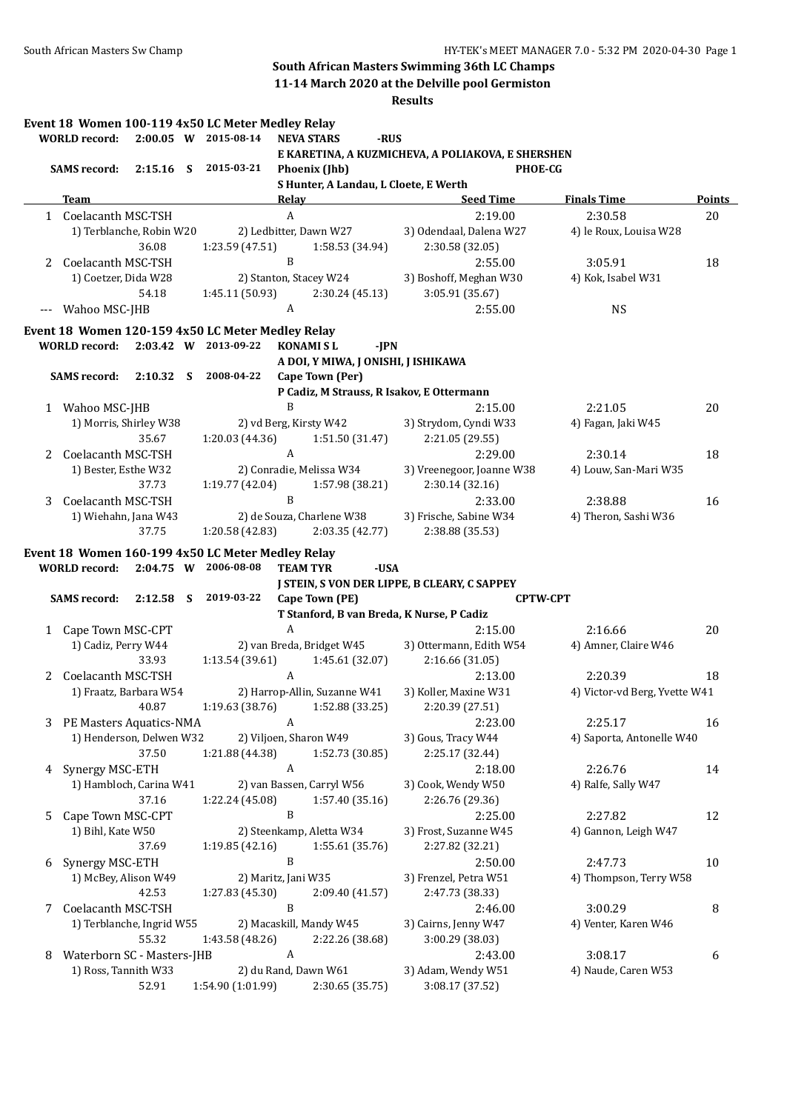**11-14 March 2020 at the Delville pool Germiston**

|   | <b>WORLD</b> record:       |                           | Event 18 Women 100-119 4x50 LC Meter Medley Relay<br>2:00.05 W 2015-08-14 |                  | <b>NEVA STARS</b>                            | -RUS   |                                                    |                 |                               |               |
|---|----------------------------|---------------------------|---------------------------------------------------------------------------|------------------|----------------------------------------------|--------|----------------------------------------------------|-----------------|-------------------------------|---------------|
|   |                            |                           |                                                                           |                  |                                              |        | E KARETINA, A KUZMICHEVA, A POLIAKOVA, E SHERSHEN  |                 |                               |               |
|   | <b>SAMS</b> record:        |                           | 2:15.16 S 2015-03-21                                                      |                  | Phoenix (Jhb)                                |        |                                                    | <b>PHOE-CG</b>  |                               |               |
|   | Team                       |                           |                                                                           | <b>Relay</b>     | S Hunter, A Landau, L Cloete, E Werth        |        | <b>Seed Time</b>                                   |                 | <b>Finals Time</b>            | <b>Points</b> |
|   | 1 Coelacanth MSC-TSH       |                           |                                                                           | $\boldsymbol{A}$ |                                              |        | 2:19.00                                            |                 | 2:30.58                       | 20            |
|   |                            | 1) Terblanche, Robin W20  |                                                                           |                  | 2) Ledbitter, Dawn W27                       |        | 3) Odendaal, Dalena W27                            |                 | 4) le Roux, Louisa W28        |               |
|   |                            | 36.08                     | 1:23.59 (47.51)                                                           |                  | 1:58.53 (34.94)                              |        | 2:30.58 (32.05)                                    |                 |                               |               |
| 2 | Coelacanth MSC-TSH         |                           |                                                                           | B                |                                              |        | 2:55.00                                            |                 | 3:05.91                       | 18            |
|   | 1) Coetzer, Dida W28       |                           |                                                                           |                  | 2) Stanton, Stacey W24                       |        | 3) Boshoff, Meghan W30                             |                 | 4) Kok, Isabel W31            |               |
|   |                            | 54.18                     | 1:45.11 (50.93)                                                           |                  | 2:30.24 (45.13)                              |        | 3:05.91 (35.67)                                    |                 |                               |               |
|   | Wahoo MSC-JHB              |                           |                                                                           | A                |                                              |        | 2:55.00                                            |                 | <b>NS</b>                     |               |
|   |                            |                           | Event 18 Women 120-159 4x50 LC Meter Medley Relay                         |                  |                                              |        |                                                    |                 |                               |               |
|   | <b>WORLD</b> record:       |                           | 2:03.42 W 2013-09-22                                                      |                  | <b>KONAMISL</b>                              | $-IPN$ |                                                    |                 |                               |               |
|   |                            |                           |                                                                           |                  | A DOI, Y MIWA, J ONISHI, J ISHIKAWA          |        |                                                    |                 |                               |               |
|   | <b>SAMS</b> record:        | 2:10.32 S                 | 2008-04-22                                                                |                  | Cape Town (Per)                              |        |                                                    |                 |                               |               |
|   |                            |                           |                                                                           |                  |                                              |        | P Cadiz, M Strauss, R Isakov, E Ottermann          |                 |                               |               |
|   | 1 Wahoo MSC-JHB            |                           |                                                                           | B                |                                              |        | 2:15.00                                            |                 | 2:21.05                       | 20            |
|   |                            | 1) Morris, Shirley W38    |                                                                           |                  | 2) vd Berg, Kirsty W42                       |        | 3) Strydom, Cyndi W33                              |                 | 4) Fagan, Jaki W45            |               |
|   |                            | 35.67                     | 1:20.03 (44.36)                                                           |                  | 1:51.50 (31.47)                              |        | 2:21.05 (29.55)                                    |                 |                               |               |
| 2 | Coelacanth MSC-TSH         |                           |                                                                           | A                |                                              |        | 2:29.00                                            |                 | 2:30.14                       | 18            |
|   | 1) Bester, Esthe W32       |                           |                                                                           |                  | 2) Conradie, Melissa W34                     |        | 3) Vreenegoor, Joanne W38                          |                 | 4) Louw, San-Mari W35         |               |
|   |                            | 37.73                     | 1:19.77(42.04)                                                            |                  | 1:57.98 (38.21)                              |        | 2:30.14 (32.16)                                    |                 |                               |               |
| 3 | Coelacanth MSC-TSH         |                           |                                                                           | B                |                                              |        | 2:33.00                                            |                 | 2:38.88                       | 16            |
|   |                            | 1) Wiehahn, Jana W43      |                                                                           |                  | 2) de Souza, Charlene W38                    |        | 3) Frische, Sabine W34                             |                 | 4) Theron, Sashi W36          |               |
|   |                            | 37.75                     | 1:20.58(42.83)                                                            |                  | 2:03.35 (42.77)                              |        | 2:38.88 (35.53)                                    |                 |                               |               |
|   |                            |                           | Event 18 Women 160-199 4x50 LC Meter Medley Relay                         |                  |                                              |        |                                                    |                 |                               |               |
|   | <b>WORLD</b> record:       |                           | 2:04.75 W 2006-08-08                                                      |                  | <b>TEAM TYR</b>                              | -USA   |                                                    |                 |                               |               |
|   |                            |                           |                                                                           |                  |                                              |        | J STEIN, S VON DER LIPPE, B CLEARY, C SAPPEY       |                 |                               |               |
|   | <b>SAMS</b> record:        | $2:12.58$ S               | 2019-03-22                                                                |                  | Cape Town (PE)                               |        |                                                    | <b>CPTW-CPT</b> |                               |               |
|   |                            |                           |                                                                           |                  |                                              |        | T Stanford, B van Breda, K Nurse, P Cadiz          |                 |                               |               |
|   | 1 Cape Town MSC-CPT        |                           |                                                                           | A                |                                              |        | 2:15.00                                            |                 | 2:16.66                       | 20            |
|   | 1) Cadiz, Perry W44        | 33.93                     | 1:13.54(39.61)                                                            |                  | 2) van Breda, Bridget W45<br>1:45.61 (32.07) |        | 3) Ottermann, Edith W54<br>2:16.66 (31.05)         |                 | 4) Amner, Claire W46          |               |
|   | Coelacanth MSC-TSH         |                           |                                                                           | A                |                                              |        | 2:13.00                                            |                 | 2:20.39                       | 18            |
| 2 |                            | 1) Fraatz, Barbara W54    |                                                                           |                  | 2) Harrop-Allin, Suzanne W41                 |        | 3) Koller, Maxine W31                              |                 | 4) Victor-vd Berg, Yvette W41 |               |
|   |                            | 40.87                     |                                                                           |                  |                                              |        | $1:19.63(38.76)$ $1:52.88(33.25)$ $2:20.39(27.51)$ |                 |                               |               |
|   | 3 PE Masters Aquatics-NMA  |                           |                                                                           | A                |                                              |        | 2:23.00                                            |                 | 2:25.17                       | 16            |
|   |                            | 1) Henderson, Delwen W32  |                                                                           |                  | 2) Viljoen, Sharon W49                       |        | 3) Gous, Tracy W44                                 |                 | 4) Saporta, Antonelle W40     |               |
|   |                            | 37.50                     | 1:21.88 (44.38)                                                           |                  | 1:52.73 (30.85)                              |        | 2:25.17 (32.44)                                    |                 |                               |               |
| 4 | Synergy MSC-ETH            |                           |                                                                           | A                |                                              |        | 2:18.00                                            |                 | 2:26.76                       | 14            |
|   |                            | 1) Hambloch, Carina W41   |                                                                           |                  | 2) van Bassen, Carryl W56                    |        | 3) Cook, Wendy W50                                 |                 | 4) Ralfe, Sally W47           |               |
|   |                            | 37.16                     | 1:22.24 (45.08)                                                           |                  | 1:57.40 (35.16)                              |        | 2:26.76 (29.36)                                    |                 |                               |               |
| 5 | Cape Town MSC-CPT          |                           |                                                                           | B                |                                              |        | 2:25.00                                            |                 | 2:27.82                       | 12            |
|   | 1) Bihl, Kate W50          |                           |                                                                           |                  | 2) Steenkamp, Aletta W34                     |        | 3) Frost, Suzanne W45                              |                 | 4) Gannon, Leigh W47          |               |
|   |                            | 37.69                     | 1:19.85(42.16)                                                            |                  | 1:55.61 (35.76)                              |        | 2:27.82 (32.21)                                    |                 |                               |               |
| 6 | Synergy MSC-ETH            |                           |                                                                           | B                |                                              |        | 2:50.00                                            |                 | 2:47.73                       | 10            |
|   | 1) McBey, Alison W49       |                           | 2) Maritz, Jani W35                                                       |                  |                                              |        | 3) Frenzel, Petra W51                              |                 | 4) Thompson, Terry W58        |               |
|   |                            | 42.53                     | 1:27.83 (45.30)                                                           |                  | 2:09.40 (41.57)                              |        | 2:47.73 (38.33)                                    |                 |                               |               |
| 7 | Coelacanth MSC-TSH         |                           |                                                                           | B                |                                              |        | 2:46.00                                            |                 | 3:00.29                       | 8             |
|   |                            | 1) Terblanche, Ingrid W55 |                                                                           |                  | 2) Macaskill, Mandy W45                      |        | 3) Cairns, Jenny W47                               |                 | 4) Venter, Karen W46          |               |
|   |                            | 55.32                     | 1:43.58 (48.26)                                                           |                  | 2:22.26 (38.68)                              |        | 3:00.29 (38.03)                                    |                 |                               |               |
| 8 | Waterborn SC - Masters-JHB |                           |                                                                           | Α                |                                              |        | 2:43.00                                            |                 | 3:08.17                       | 6             |
|   | 1) Ross, Tannith W33       |                           |                                                                           |                  | 2) du Rand, Dawn W61                         |        | 3) Adam, Wendy W51                                 |                 | 4) Naude, Caren W53           |               |
|   |                            | 52.91                     | 1:54.90 (1:01.99)                                                         |                  | 2:30.65 (35.75)                              |        | 3:08.17 (37.52)                                    |                 |                               |               |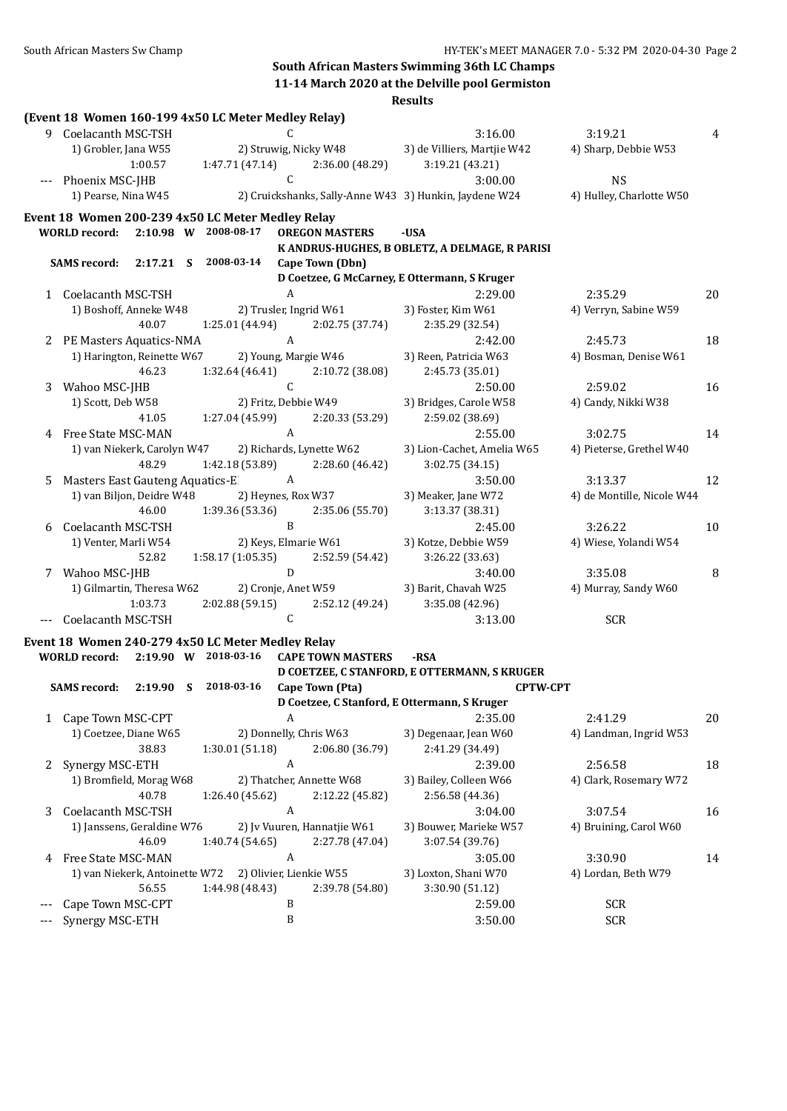# **South African Masters Swimming 36th LC Champs 11-14 March 2020 at the Delville pool Germiston**

|     |                                 |           | (Event 18 Women 160-199 4x50 LC Meter Medley Relay)                       |              |                             |                                                        |                            |    |
|-----|---------------------------------|-----------|---------------------------------------------------------------------------|--------------|-----------------------------|--------------------------------------------------------|----------------------------|----|
|     | 9 Coelacanth MSC-TSH            |           |                                                                           | C            |                             | 3:16.00                                                | 3:19.21                    | 4  |
|     | 1) Grobler, Jana W55            |           |                                                                           |              | 2) Struwig, Nicky W48       | 3) de Villiers, Martjie W42                            | 4) Sharp, Debbie W53       |    |
|     |                                 | 1:00.57   | 1:47.71 (47.14)                                                           |              | 2:36.00 (48.29)             | 3:19.21 (43.21)                                        |                            |    |
|     | Phoenix MSC-JHB                 |           |                                                                           | C            |                             | 3:00.00                                                | <b>NS</b>                  |    |
|     | 1) Pearse, Nina W45             |           |                                                                           |              |                             | 2) Cruickshanks, Sally-Anne W43 3) Hunkin, Jaydene W24 | 4) Hulley, Charlotte W50   |    |
|     |                                 |           | Event 18 Women 200-239 4x50 LC Meter Medley Relay                         |              |                             |                                                        |                            |    |
|     | <b>WORLD</b> record:            |           | 2:10.98 W 2008-08-17                                                      |              | <b>OREGON MASTERS</b>       | -USA                                                   |                            |    |
|     |                                 |           |                                                                           |              |                             | K ANDRUS-HUGHES, B OBLETZ, A DELMAGE, R PARISI         |                            |    |
|     | <b>SAMS</b> record:             | 2:17.21 S | 2008-03-14                                                                |              | Cape Town (Dbn)             |                                                        |                            |    |
|     |                                 |           |                                                                           |              |                             | D Coetzee, G McCarney, E Ottermann, S Kruger           |                            |    |
|     | 1 Coelacanth MSC-TSH            |           |                                                                           | A            |                             | 2:29.00                                                | 2:35.29                    | 20 |
|     | 1) Boshoff, Anneke W48          |           |                                                                           |              | 2) Trusler, Ingrid W61      | 3) Foster, Kim W61                                     | 4) Verryn, Sabine W59      |    |
|     |                                 | 40.07     | 1:25.01 (44.94)                                                           |              | 2:02.75 (37.74)             | 2:35.29 (32.54)                                        |                            |    |
| 2   | PE Masters Aquatics-NMA         |           |                                                                           | $\mathbf{A}$ |                             | 2:42.00                                                | 2:45.73                    | 18 |
|     | 1) Harington, Reinette W67      |           |                                                                           |              | 2) Young, Margie W46        | 3) Reen, Patricia W63                                  | 4) Bosman, Denise W61      |    |
|     |                                 | 46.23     | 1:32.64 (46.41)                                                           |              | 2:10.72 (38.08)             | 2:45.73 (35.01)                                        |                            |    |
| 3   | Wahoo MSC-JHB                   |           |                                                                           | C            |                             | 2:50.00                                                | 2:59.02                    | 16 |
|     | 1) Scott, Deb W58               |           |                                                                           |              | 2) Fritz, Debbie W49        | 3) Bridges, Carole W58                                 | 4) Candy, Nikki W38        |    |
|     |                                 | 41.05     | 1:27.04 (45.99)                                                           |              | 2:20.33 (53.29)             | 2:59.02 (38.69)                                        |                            |    |
| 4   | Free State MSC-MAN              |           |                                                                           | A            |                             | 2:55.00                                                | 3:02.75                    | 14 |
|     | 1) van Niekerk, Carolyn W47     |           |                                                                           |              | 2) Richards, Lynette W62    | 3) Lion-Cachet, Amelia W65                             | 4) Pieterse, Grethel W40   |    |
|     |                                 | 48.29     | 1:42.18 (53.89)                                                           |              | 2:28.60 (46.42)             | 3:02.75 (34.15)                                        |                            |    |
| 5   | Masters East Gauteng Aquatics-E |           |                                                                           | A            |                             | 3:50.00                                                | 3:13.37                    | 12 |
|     | 1) van Biljon, Deidre W48       |           |                                                                           |              | 2) Heynes, Rox W37          | 3) Meaker, Jane W72                                    | 4) de Montille, Nicole W44 |    |
|     |                                 | 46.00     | 1:39.36 (53.36)                                                           |              | 2:35.06 (55.70)             | 3:13.37 (38.31)                                        |                            |    |
| 6   | Coelacanth MSC-TSH              |           |                                                                           | B            |                             | 2:45.00                                                | 3:26.22                    | 10 |
|     | 1) Venter, Marli W54            |           |                                                                           |              | 2) Keys, Elmarie W61        | 3) Kotze, Debbie W59                                   | 4) Wiese, Yolandi W54      |    |
|     |                                 | 52.82     | 1:58.17(1:05.35)                                                          |              | 2:52.59 (54.42)             | 3:26.22 (33.63)                                        |                            |    |
| 7   | Wahoo MSC-JHB                   |           |                                                                           | D            |                             | 3:40.00                                                | 3:35.08                    | 8  |
|     | 1) Gilmartin, Theresa W62       |           |                                                                           |              | 2) Cronje, Anet W59         | 3) Barit, Chavah W25                                   | 4) Murray, Sandy W60       |    |
|     |                                 | 1:03.73   | 2:02.88(59.15)                                                            |              | 2:52.12 (49.24)             | 3:35.08 (42.96)                                        |                            |    |
|     | Coelacanth MSC-TSH              |           |                                                                           | C            |                             | 3:13.00                                                | <b>SCR</b>                 |    |
|     |                                 |           |                                                                           |              |                             |                                                        |                            |    |
|     | <b>WORLD</b> record:            |           | Event 18 Women 240-279 4x50 LC Meter Medley Relay<br>2:19.90 W 2018-03-16 |              | <b>CAPE TOWN MASTERS</b>    | -RSA                                                   |                            |    |
|     |                                 |           |                                                                           |              |                             | D COETZEE, C STANFORD, E OTTERMANN, S KRUGER           |                            |    |
|     | <b>SAMS</b> record:             |           | 2:19.90 S 2018-03-16                                                      |              | Cape Town (Pta)             |                                                        | <b>CPTW-CPT</b>            |    |
|     |                                 |           |                                                                           |              |                             | D Coetzee, C Stanford, E Ottermann, S Kruger           |                            |    |
|     | 1 Cape Town MSC-CPT             |           |                                                                           | A            |                             | 2:35.00                                                | 2:41.29                    | 20 |
|     | 1) Coetzee, Diane W65           |           |                                                                           |              | 2) Donnelly, Chris W63      | 3) Degenaar, Jean W60                                  | 4) Landman, Ingrid W53     |    |
|     |                                 | 38.83     | 1:30.01 (51.18)                                                           |              | 2:06.80 (36.79)             | 2:41.29 (34.49)                                        |                            |    |
| 2   | Synergy MSC-ETH                 |           |                                                                           | A            |                             | 2:39.00                                                | 2:56.58                    | 18 |
|     | 1) Bromfield, Morag W68         |           |                                                                           |              | 2) Thatcher, Annette W68    | 3) Bailey, Colleen W66                                 | 4) Clark, Rosemary W72     |    |
|     |                                 | 40.78     |                                                                           |              |                             | 2:56.58 (44.36)                                        |                            |    |
|     |                                 |           | 1:26.40 (45.62)                                                           | A            | 2:12.22 (45.82)             |                                                        |                            |    |
| 3   | Coelacanth MSC-TSH              |           |                                                                           |              |                             | 3:04.00                                                | 3:07.54                    | 16 |
|     | 1) Janssens, Geraldine W76      |           |                                                                           |              | 2) Jv Vuuren, Hannatjie W61 | 3) Bouwer, Marieke W57                                 | 4) Bruining, Carol W60     |    |
|     |                                 | 46.09     | 1:40.74 (54.65)                                                           |              | 2:27.78 (47.04)             | 3:07.54 (39.76)                                        |                            |    |
| 4   | Free State MSC-MAN              |           |                                                                           | A            |                             | 3:05.00                                                | 3:30.90                    | 14 |
|     | 1) van Niekerk, Antoinette W72  |           |                                                                           |              | 2) Olivier, Lienkie W55     | 3) Loxton, Shani W70                                   | 4) Lordan, Beth W79        |    |
|     |                                 | 56.55     | 1:44.98 (48.43)                                                           |              | 2:39.78 (54.80)             | 3:30.90 (51.12)                                        |                            |    |
|     | Cape Town MSC-CPT               |           |                                                                           | B            |                             | 2:59.00                                                | SCR                        |    |
| --- | Synergy MSC-ETH                 |           |                                                                           | $\, {\bf B}$ |                             | 3:50.00                                                | <b>SCR</b>                 |    |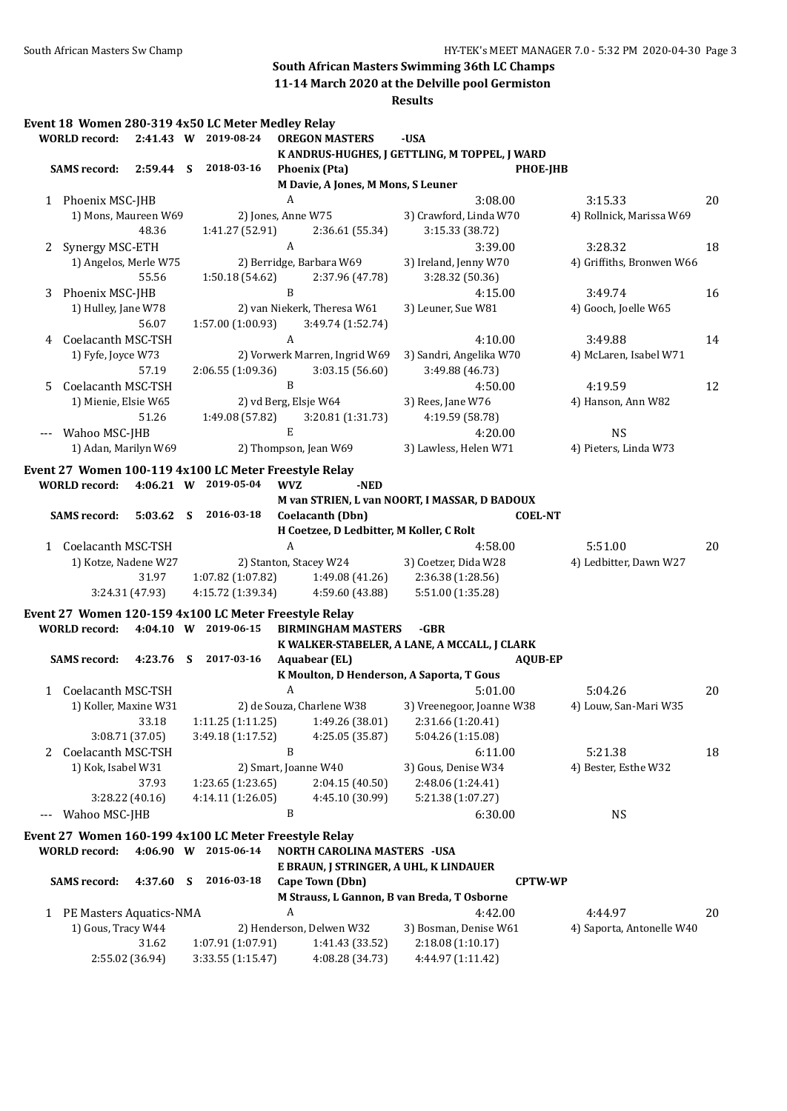**11-14 March 2020 at the Delville pool Germiston**

|   | Event 18 Women 280-319 4x50 LC Meter Medley Relay     |                 |                      |                  |                                          |                                               |                           |    |
|---|-------------------------------------------------------|-----------------|----------------------|------------------|------------------------------------------|-----------------------------------------------|---------------------------|----|
|   | <b>WORLD</b> record:                                  |                 | 2:41.43 W 2019-08-24 |                  | <b>OREGON MASTERS</b>                    | -USA                                          |                           |    |
|   |                                                       |                 |                      |                  |                                          | K ANDRUS-HUGHES, J GETTLING, M TOPPEL, J WARD |                           |    |
|   | SAMS record: 2:59.44 S 2018-03-16                     |                 |                      |                  | <b>Phoenix (Pta)</b>                     | <b>PHOE-JHB</b>                               |                           |    |
|   |                                                       |                 |                      |                  | M Davie, A Jones, M Mons, S Leuner       |                                               |                           |    |
|   | 1 Phoenix MSC-JHB                                     |                 |                      | A                |                                          | 3:08.00                                       | 3:15.33                   | 20 |
|   | 1) Mons, Maureen W69                                  |                 | 2) Jones, Anne W75   |                  |                                          | 3) Crawford, Linda W70                        | 4) Rollnick, Marissa W69  |    |
|   |                                                       | 48.36           | 1:41.27 (52.91)      |                  | 2:36.61 (55.34)                          | 3:15.33 (38.72)                               |                           |    |
|   | 2 Synergy MSC-ETH                                     |                 |                      | $\boldsymbol{A}$ |                                          | 3:39.00                                       | 3:28.32                   | 18 |
|   | 1) Angelos, Merle W75                                 |                 |                      |                  | 2) Berridge, Barbara W69                 | 3) Ireland, Jenny W70                         | 4) Griffiths, Bronwen W66 |    |
|   |                                                       | 55.56           | 1:50.18 (54.62)      |                  | 2:37.96 (47.78)                          | 3:28.32 (50.36)                               |                           |    |
| 3 | Phoenix MSC-JHB                                       |                 |                      | $\mathbf{B}$     |                                          | 4:15.00                                       | 3:49.74                   | 16 |
|   | 1) Hulley, Jane W78                                   |                 |                      |                  | 2) van Niekerk, Theresa W61              | 3) Leuner, Sue W81                            | 4) Gooch, Joelle W65      |    |
|   |                                                       | 56.07           | 1:57.00 (1:00.93)    |                  | 3:49.74 (1:52.74)                        |                                               |                           |    |
| 4 | Coelacanth MSC-TSH                                    |                 |                      | A                |                                          | 4:10.00                                       | 3:49.88                   | 14 |
|   | 1) Fyfe, Joyce W73                                    |                 |                      |                  | 2) Vorwerk Marren, Ingrid W69            | 3) Sandri, Angelika W70                       | 4) McLaren, Isabel W71    |    |
|   |                                                       | 57.19           | 2:06.55 (1:09.36)    |                  | 3:03.15(56.60)                           | 3:49.88 (46.73)                               |                           |    |
| 5 | Coelacanth MSC-TSH                                    |                 |                      | B                |                                          | 4:50.00                                       | 4:19.59                   | 12 |
|   | 1) Mienie, Elsie W65                                  |                 |                      |                  | 2) vd Berg, Elsje W64                    | 3) Rees, Jane W76                             | 4) Hanson, Ann W82        |    |
|   |                                                       | 51.26           |                      |                  | $1:49.08(57.82)$ $3:20.81(1:31.73)$      | 4:19.59 (58.78)                               |                           |    |
|   | --- Wahoo MSC-JHB                                     |                 |                      | $\mathbf E$      |                                          | 4:20.00                                       | <b>NS</b>                 |    |
|   | 1) Adan, Marilyn W69                                  |                 |                      |                  | 2) Thompson, Jean W69                    | 3) Lawless, Helen W71                         | 4) Pieters, Linda W73     |    |
|   | Event 27 Women 100-119 4x100 LC Meter Freestyle Relay |                 |                      |                  |                                          |                                               |                           |    |
|   | WORLD record: 4:06.21 W 2019-05-04                    |                 |                      | <b>WVZ</b>       | -NED                                     |                                               |                           |    |
|   |                                                       |                 |                      |                  |                                          | M van STRIEN, L van NOORT, I MASSAR, D BADOUX |                           |    |
|   | <b>SAMS</b> record:                                   |                 | 5:03.62 S 2016-03-18 |                  | Coelacanth (Dbn)                         | <b>COEL-NT</b>                                |                           |    |
|   |                                                       |                 |                      |                  | H Coetzee, D Ledbitter, M Koller, C Rolt |                                               |                           |    |
|   | 1 Coelacanth MSC-TSH                                  |                 |                      | $\boldsymbol{A}$ |                                          | 4:58.00                                       | 5:51.00                   | 20 |
|   | 1) Kotze, Nadene W27                                  |                 |                      |                  | 2) Stanton, Stacey W24                   | 3) Coetzer, Dida W28                          | 4) Ledbitter, Dawn W27    |    |
|   |                                                       | 31.97           |                      |                  | $1:07.82$ (1:07.82) $1:49.08$ (41.26)    | 2:36.38 (1:28.56)                             |                           |    |
|   |                                                       | 3:24.31 (47.93) | 4:15.72 (1:39.34)    |                  | 4:59.60 (43.88)                          | 5:51.00 (1:35.28)                             |                           |    |
|   | Event 27 Women 120-159 4x100 LC Meter Freestyle Relay |                 |                      |                  |                                          |                                               |                           |    |
|   | WORLD record: 4:04.10 W 2019-06-15                    |                 |                      |                  | <b>BIRMINGHAM MASTERS</b>                | -GBR                                          |                           |    |
|   |                                                       |                 |                      |                  |                                          | K WALKER-STABELER, A LANE, A MCCALL, J CLARK  |                           |    |
|   | <b>SAMS</b> record:                                   |                 | 4:23.76 S 2017-03-16 |                  | <b>Aquabear (EL)</b>                     | <b>AOUB-EP</b>                                |                           |    |
|   |                                                       |                 |                      |                  |                                          | K Moulton, D Henderson, A Saporta, T Gous     |                           |    |
|   | 1 Coelacanth MSC-TSH                                  |                 |                      | A                |                                          | 5:01.00                                       | 5:04.26                   | 20 |
|   |                                                       |                 |                      |                  | 2) de Souza, Charlene W38                | 3) Vreenegoor, Joanne W38                     | 4) Louw, San-Mari W35     |    |
|   | 1) Koller, Maxine W31                                 | 33.18           | 1:11.25 (1:11.25)    |                  | 1:49.26 (38.01)                          | 2:31.66 (1:20.41)                             |                           |    |
|   |                                                       | 3:08.71 (37.05) | 3:49.18 (1:17.52)    |                  | 4:25.05 (35.87)                          | 5:04.26 (1:15.08)                             |                           |    |
|   | Coelacanth MSC-TSH                                    |                 |                      | $\, {\bf B}$     |                                          | 6:11.00                                       | 5:21.38                   | 18 |
| 2 |                                                       |                 |                      |                  |                                          |                                               |                           |    |
|   | 1) Kok, Isabel W31                                    |                 |                      |                  | 2) Smart, Joanne W40                     | 3) Gous, Denise W34                           | 4) Bester, Esthe W32      |    |
|   |                                                       | 37.93           | 1:23.65(1:23.65)     |                  | 2:04.15 (40.50)                          | 2:48.06 (1:24.41)                             |                           |    |
|   |                                                       | 3:28.22 (40.16) | 4:14.11 (1:26.05)    |                  | 4:45.10 (30.99)                          | 5:21.38 (1:07.27)                             |                           |    |
|   | --- Wahoo MSC-JHB                                     |                 |                      | B                |                                          | 6:30.00                                       | <b>NS</b>                 |    |
|   | Event 27 Women 160-199 4x100 LC Meter Freestyle Relay |                 |                      |                  |                                          |                                               |                           |    |
|   | <b>WORLD</b> record:                                  |                 | 4:06.90 W 2015-06-14 |                  | <b>NORTH CAROLINA MASTERS -USA</b>       |                                               |                           |    |
|   |                                                       |                 |                      |                  |                                          | E BRAUN, J STRINGER, A UHL, K LINDAUER        |                           |    |
|   | <b>SAMS</b> record:                                   | 4:37.60 S       | 2016-03-18           |                  | Cape Town (Dbn)                          | <b>CPTW-WP</b>                                |                           |    |
|   |                                                       |                 |                      |                  |                                          | M Strauss, L Gannon, B van Breda, T Osborne   |                           |    |
|   | 1 PE Masters Aquatics-NMA                             |                 |                      | A                |                                          | 4:42.00                                       | 4:44.97                   | 20 |
|   | 1) Gous, Tracy W44                                    |                 |                      |                  | 2) Henderson, Delwen W32                 | 3) Bosman, Denise W61                         | 4) Saporta, Antonelle W40 |    |
|   |                                                       | 31.62           | 1:07.91 (1:07.91)    |                  | 1:41.43 (33.52)                          | 2:18.08 (1:10.17)                             |                           |    |
|   |                                                       | 2:55.02 (36.94) | 3:33.55 (1:15.47)    |                  | 4:08.28 (34.73)                          | 4:44.97 (1:11.42)                             |                           |    |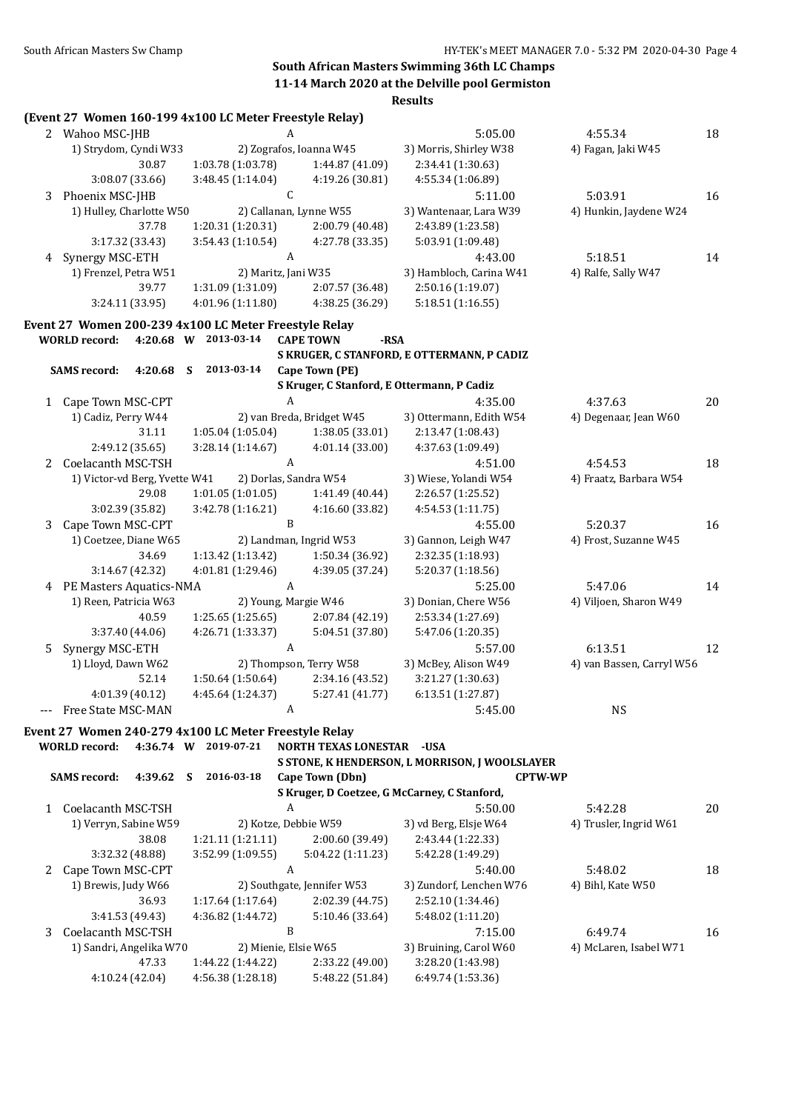### **South African Masters Swimming 36th LC Champs 11-14 March 2020 at the Delville pool Germiston**

**Results (Event 27 Women 160-199 4x100 LC Meter Freestyle Relay)** 2 Wahoo MSC-JHB A 5:05.00 4:55.34 18 1) Strydom, Cyndi W33 2) Zografos, Ioanna W45 3) Morris, Shirley W38 4) Fagan, Jaki W45 30.87 1:03.78 (1:03.78) 1:44.87 (41.09) 2:34.41 (1:30.63) 3:08.07 (33.66) 3:48.45 (1:14.04) 4:19.26 (30.81) 4:55.34 (1:06.89) 3 Phoenix MSC-IHB C C 5:11.00 5:03.91 16 1) Hulley, Charlotte W50 2) Callanan, Lynne W55 3) Wantenaar, Lara W39 4) Hunkin, Jaydene W24 37.78 1:20.31 (1:20.31) 2:00.79 (40.48) 2:43.89 (1:23.58) 3:17.32 (33.43) 3:54.43 (1:10.54) 4:27.78 (33.35) 5:03.91 (1:09.48) 4 Synergy MSC-ETH A 4:43.00 5:18.51 14 1) Frenzel, Petra W51 2) Maritz, Jani W35 3) Hambloch, Carina W41 4) Ralfe, Sally W47 39.77 1:31.09 (1:31.09) 2:07.57 (36.48) 2:50.16 (1:19.07) 3:24.11 (33.95) 4:01.96 (1:11.80) 4:38.25 (36.29) 5:18.51 (1:16.55) **Event 27 Women 200-239 4x100 LC Meter Freestyle Relay WORLD record: 4:20.68 W 2013-03-14 CAPE TOWN -RSA S KRUGER, C STANFORD, E OTTERMANN, P CADIZ SAMS record: 4:20.68 S 2013-03-14 Cape Town (PE) S Kruger, C Stanford, E Ottermann, P Cadiz** 1 Cape Town MSC-CPT 4:35.00 4:37.63 20 1) Cadiz, Perry W44 2) van Breda, Bridget W45 3) Ottermann, Edith W54 4) Degenaar, Jean W60 31.11 1:05.04 (1:05.04) 1:38.05 (33.01) 2:13.47 (1:08.43) 2:49.12 (35.65) 3:28.14 (1:14.67) 4:01.14 (33.00) 4:37.63 (1:09.49) 2 Coelacanth MSC-TSH A 4:51.00 4:54.53 18 1) Victor-vd Berg, Yvette W41 2) Dorlas, Sandra W54 3) Wiese, Yolandi W54 4) Fraatz, Barbara W54 29.08 1:01.05 (1:01.05) 1:41.49 (40.44) 2:26.57 (1:25.52) 3:02.39 (35.82) 3:42.78 (1:16.21) 4:16.60 (33.82) 4:54.53 (1:11.75) 3 Cape Town MSC-CPT B B 4:55.00 5:20.37 16 1) Coetzee, Diane W65 2) Landman, Ingrid W53 3) Gannon, Leigh W47 4) Frost, Suzanne W45 34.69 1:13.42 (1:13.42) 1:50.34 (36.92) 2:32.35 (1:18.93) 3:14.67 (42.32) 4:01.81 (1:29.46) 4:39.05 (37.24) 5:20.37 (1:18.56) 4 PE Masters Aquatics-NMA A 5:25.00 5:47.06 14 1) Reen, Patricia W63 2) Young, Margie W46 3) Donian, Chere W56 4) Viljoen, Sharon W49 40.59 1:25.65 (1:25.65) 2:07.84 (42.19) 2:53.34 (1:27.69) 3:37.40 (44.06) 4:26.71 (1:33.37) 5:04.51 (37.80) 5:47.06 (1:20.35) 5 Synergy MSC-ETH A A 5:57.00 6:13.51 12 1) Lloyd, Dawn W62 2) Thompson, Terry W58 3) McBey, Alison W49 4) van Bassen, Carryl W56 52.14 1:50.64 (1:50.64) 2:34.16 (43.52) 3:21.27 (1:30.63) 4:01.39 (40.12) 4:45.64 (1:24.37) 5:27.41 (41.77) 6:13.51 (1:27.87) -- Free State MSC-MAN A A 5:45.00 NS **Event 27 Women 240-279 4x100 LC Meter Freestyle Relay WORLD record: 4:36.74 W 2019-07-21 NORTH TEXAS LONESTAR -USA S STONE, K HENDERSON, L MORRISON, J WOOLSLAYER SAMS record: 4:39.62 S 2016-03-18 Cape Town (Dbn) CPTW-WP S Kruger, D Coetzee, G McCarney, C Stanford,** 1 Coelacanth MSC-TSH A 5:50.00 5:42.28 20 1) Verryn, Sabine W59 2) Kotze, Debbie W59 3) vd Berg, Elsje W64 4) Trusler, Ingrid W61 38.08 1:21.11 (1:21.11) 2:00.60 (39.49) 2:43.44 (1:22.33) 3:32.32 (48.88) 3:52.99 (1:09.55) 5:04.22 (1:11.23) 5:42.28 (1:49.29) 2 Cape Town MSC-CPT 4 A 5:40.00 5:48.02 18 1) Brewis, Judy W66 2) Southgate, Jennifer W53 3) Zundorf, Lenchen W76 4) Bihl, Kate W50 36.93 1:17.64 (1:17.64) 2:02.39 (44.75) 2:52.10 (1:34.46) 3:41.53 (49.43) 4:36.82 (1:44.72) 5:10.46 (33.64) 5:48.02 (1:11.20) 3 Coelacanth MSC-TSH B B 7:15.00 6:49.74 16 1) Sandri, Angelika W70 2) Mienie, Elsie W65 3) Bruining, Carol W60 4) McLaren, Isabel W71 47.33 1:44.22 (1:44.22) 2:33.22 (49.00) 3:28.20 (1:43.98) 4:10.24 (42.04) 4:56.38 (1:28.18) 5:48.22 (51.84) 6:49.74 (1:53.36)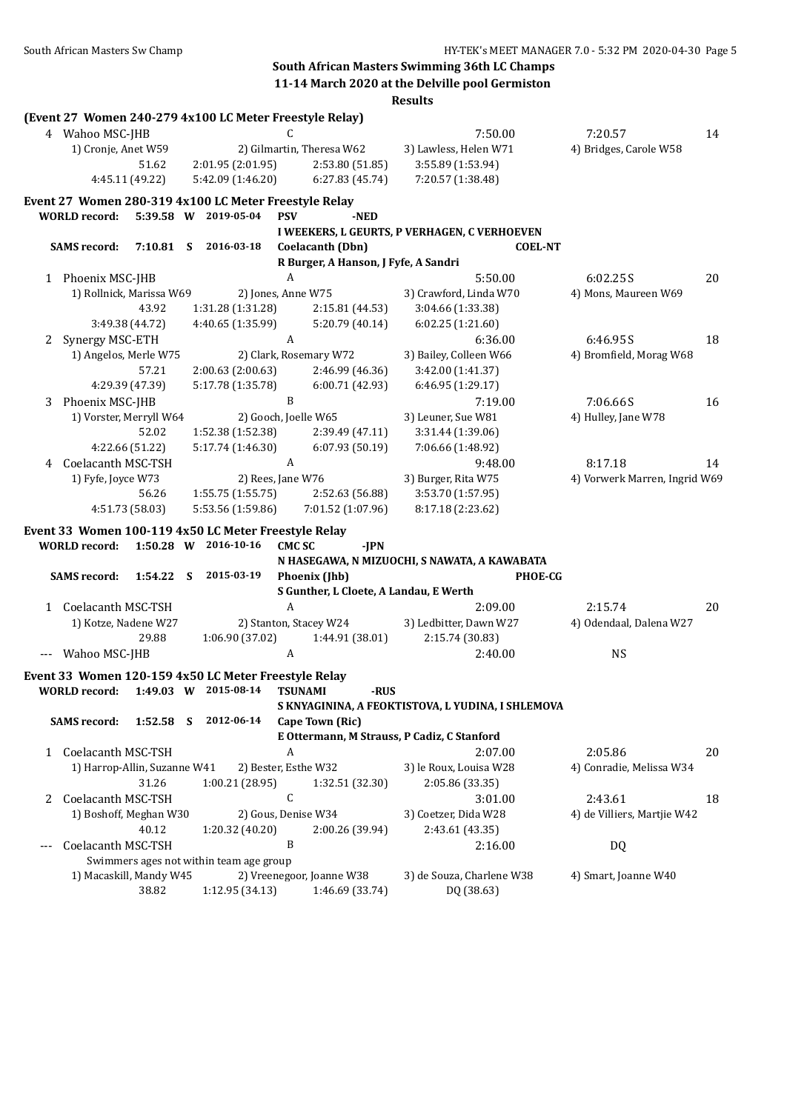**South African Masters Swimming 36th LC Champs 11-14 March 2020 at the Delville pool Germiston**

| (Event 27 Women 240-279 4x100 LC Meter Freestyle Relay)<br>4 Wahoo MSC-JHB<br>7:50.00<br>7:20.57<br>C<br>14<br>2) Gilmartin, Theresa W62<br>3) Lawless, Helen W71<br>1) Cronje, Anet W59<br>4) Bridges, Carole W58<br>51.62<br>2:01.95 (2:01.95)<br>2:53.80 (51.85)<br>3:55.89 (1:53.94)<br>6:27.83(45.74)<br>7:20.57 (1:38.48)<br>4:45.11 (49.22)<br>5:42.09 (1:46.20)<br>Event 27 Women 280-319 4x100 LC Meter Freestyle Relay<br><b>WORLD</b> record:<br>5:39.58 W 2019-05-04<br><b>PSV</b><br>-NED<br>I WEEKERS, L GEURTS, P VERHAGEN, C VERHOEVEN<br>2016-03-18<br><b>SAMS</b> record:<br>7:10.81 S<br>Coelacanth (Dbn)<br><b>COEL-NT</b><br>R Burger, A Hanson, J Fyfe, A Sandri<br>1 Phoenix MSC-JHB<br>A<br>5:50.00<br>6:02.25S<br>20<br>2) Jones, Anne W75<br>3) Crawford, Linda W70<br>4) Mons, Maureen W69<br>1) Rollnick, Marissa W69<br>43.92<br>1:31.28 (1:31.28)<br>3:04.66 (1:33.38)<br>2:15.81 (44.53)<br>4:40.65 (1:35.99)<br>5:20.79 (40.14)<br>3:49.38 (44.72)<br>6:02.25(1:21.60)<br>A<br>Synergy MSC-ETH<br>6:36.00<br>18<br>6:46.95S<br>2<br>1) Angelos, Merle W75<br>2) Clark, Rosemary W72<br>3) Bailey, Colleen W66<br>4) Bromfield, Morag W68<br>57.21<br>2:00.63 (2:00.63)<br>3:42.00 (1:41.37)<br>2:46.99 (46.36)<br>5:17.78 (1:35.78)<br>4:29.39 (47.39)<br>6:00.71 (42.93)<br>6:46.95 (1:29.17)<br>Phoenix MSC-JHB<br>B<br>7:06.66S<br>7:19.00<br>16<br>3<br>1) Vorster, Merryll W64<br>2) Gooch, Joelle W65<br>3) Leuner, Sue W81<br>4) Hulley, Jane W78<br>52.02<br>3:31.44 (1:39.06)<br>1:52.38 (1:52.38)<br>2:39.49 (47.11)<br>5:17.74 (1:46.30)<br>6:07.93 (50.19)<br>7:06.66 (1:48.92)<br>4:22.66 (51.22)<br>4 Coelacanth MSC-TSH<br>A<br>9:48.00<br>8:17.18<br>14<br>2) Rees, Jane W76<br>3) Burger, Rita W75<br>4) Vorwerk Marren, Ingrid W69<br>1) Fyfe, Joyce W73<br>56.26<br>1:55.75 (1:55.75)<br>2:52.63 (56.88)<br>3:53.70 (1:57.95)<br>5:53.56 (1:59.86)<br>7:01.52 (1:07.96)<br>8:17.18 (2:23.62)<br>4:51.73 (58.03)<br>Event 33 Women 100-119 4x50 LC Meter Freestyle Relay<br>2016-10-16<br><b>WORLD</b> record:<br>1:50.28 W<br><b>CMCSC</b><br>-IPN<br>N HASEGAWA, N MIZUOCHI, S NAWATA, A KAWABATA<br>2015-03-19<br><b>SAMS</b> record:<br>1:54.22 S<br>Phoenix (Jhb)<br><b>PHOE-CG</b><br>S Gunther, L Cloete, A Landau, E Werth<br>1 Coelacanth MSC-TSH<br>A<br>2:09.00<br>2:15.74<br>20<br>2) Stanton, Stacey W24<br>1) Kotze, Nadene W27<br>3) Ledbitter, Dawn W27<br>4) Odendaal, Dalena W27<br>29.88<br>1:06.90 (37.02)<br>2:15.74 (30.83)<br>1:44.91 (38.01)<br>A<br>2:40.00<br><b>NS</b><br>Wahoo MSC-JHB<br>Event 33 Women 120-159 4x50 LC Meter Freestyle Relay<br>2015-08-14<br><b>WORLD</b> record:<br>-RUS<br>$1:49.03$ W<br><b>TSUNAMI</b><br>S KNYAGININA, A FEOKTISTOVA, L YUDINA, I SHLEMOVA<br>2012-06-14<br><b>SAMS</b> record:<br>1:52.58<br>Cape Town (Ric)<br>- S<br>E Ottermann, M Strauss, P Cadiz, C Stanford<br>A<br>Coelacanth MSC-TSH<br>2:05.86<br>20<br>2:07.00<br>1<br>1) Harrop-Allin, Suzanne W41<br>2) Bester, Esthe W32<br>3) le Roux, Louisa W28<br>4) Conradie, Melissa W34<br>31.26<br>2:05.86 (33.35)<br>1:00.21 (28.95)<br>1:32.51 (32.30)<br>C<br>Coelacanth MSC-TSH<br>2:43.61<br>3:01.00<br>18<br>2<br>1) Boshoff, Meghan W30<br>2) Gous, Denise W34<br>3) Coetzer, Dida W28<br>4) de Villiers, Martjie W42<br>40.12<br>1:20.32 (40.20)<br>2:00.26 (39.94)<br>2:43.61 (43.35)<br>B<br>Coelacanth MSC-TSH<br><b>DQ</b><br>2:16.00<br>Swimmers ages not within team age group<br>2) Vreenegoor, Joanne W38<br>3) de Souza, Charlene W38<br>1) Macaskill, Mandy W45<br>4) Smart, Joanne W40<br>38.82<br>1:12.95 (34.13)<br>1:46.69 (33.74)<br>DQ (38.63) |  |  |  |  |  | <b>Results</b> |  |
|-----------------------------------------------------------------------------------------------------------------------------------------------------------------------------------------------------------------------------------------------------------------------------------------------------------------------------------------------------------------------------------------------------------------------------------------------------------------------------------------------------------------------------------------------------------------------------------------------------------------------------------------------------------------------------------------------------------------------------------------------------------------------------------------------------------------------------------------------------------------------------------------------------------------------------------------------------------------------------------------------------------------------------------------------------------------------------------------------------------------------------------------------------------------------------------------------------------------------------------------------------------------------------------------------------------------------------------------------------------------------------------------------------------------------------------------------------------------------------------------------------------------------------------------------------------------------------------------------------------------------------------------------------------------------------------------------------------------------------------------------------------------------------------------------------------------------------------------------------------------------------------------------------------------------------------------------------------------------------------------------------------------------------------------------------------------------------------------------------------------------------------------------------------------------------------------------------------------------------------------------------------------------------------------------------------------------------------------------------------------------------------------------------------------------------------------------------------------------------------------------------------------------------------------------------------------------------------------------------------------------------------------------------------------------------------------------------------------------------------------------------------------------------------------------------------------------------------------------------------------------------------------------------------------------------------------------------------------------------------------------------------------------------------------------------------------------------------------------------------------------------------------------------------------------------------------------------------------------------------------------------------------------------------------------------------------------------------------------------------------------------------------------------------------------------------------------------------------------------------------------------------------------------------------------------------------------------------------------------------------------------------------------------|--|--|--|--|--|----------------|--|
|                                                                                                                                                                                                                                                                                                                                                                                                                                                                                                                                                                                                                                                                                                                                                                                                                                                                                                                                                                                                                                                                                                                                                                                                                                                                                                                                                                                                                                                                                                                                                                                                                                                                                                                                                                                                                                                                                                                                                                                                                                                                                                                                                                                                                                                                                                                                                                                                                                                                                                                                                                                                                                                                                                                                                                                                                                                                                                                                                                                                                                                                                                                                                                                                                                                                                                                                                                                                                                                                                                                                                                                                                                                     |  |  |  |  |  |                |  |
|                                                                                                                                                                                                                                                                                                                                                                                                                                                                                                                                                                                                                                                                                                                                                                                                                                                                                                                                                                                                                                                                                                                                                                                                                                                                                                                                                                                                                                                                                                                                                                                                                                                                                                                                                                                                                                                                                                                                                                                                                                                                                                                                                                                                                                                                                                                                                                                                                                                                                                                                                                                                                                                                                                                                                                                                                                                                                                                                                                                                                                                                                                                                                                                                                                                                                                                                                                                                                                                                                                                                                                                                                                                     |  |  |  |  |  |                |  |
|                                                                                                                                                                                                                                                                                                                                                                                                                                                                                                                                                                                                                                                                                                                                                                                                                                                                                                                                                                                                                                                                                                                                                                                                                                                                                                                                                                                                                                                                                                                                                                                                                                                                                                                                                                                                                                                                                                                                                                                                                                                                                                                                                                                                                                                                                                                                                                                                                                                                                                                                                                                                                                                                                                                                                                                                                                                                                                                                                                                                                                                                                                                                                                                                                                                                                                                                                                                                                                                                                                                                                                                                                                                     |  |  |  |  |  |                |  |
|                                                                                                                                                                                                                                                                                                                                                                                                                                                                                                                                                                                                                                                                                                                                                                                                                                                                                                                                                                                                                                                                                                                                                                                                                                                                                                                                                                                                                                                                                                                                                                                                                                                                                                                                                                                                                                                                                                                                                                                                                                                                                                                                                                                                                                                                                                                                                                                                                                                                                                                                                                                                                                                                                                                                                                                                                                                                                                                                                                                                                                                                                                                                                                                                                                                                                                                                                                                                                                                                                                                                                                                                                                                     |  |  |  |  |  |                |  |
|                                                                                                                                                                                                                                                                                                                                                                                                                                                                                                                                                                                                                                                                                                                                                                                                                                                                                                                                                                                                                                                                                                                                                                                                                                                                                                                                                                                                                                                                                                                                                                                                                                                                                                                                                                                                                                                                                                                                                                                                                                                                                                                                                                                                                                                                                                                                                                                                                                                                                                                                                                                                                                                                                                                                                                                                                                                                                                                                                                                                                                                                                                                                                                                                                                                                                                                                                                                                                                                                                                                                                                                                                                                     |  |  |  |  |  |                |  |
|                                                                                                                                                                                                                                                                                                                                                                                                                                                                                                                                                                                                                                                                                                                                                                                                                                                                                                                                                                                                                                                                                                                                                                                                                                                                                                                                                                                                                                                                                                                                                                                                                                                                                                                                                                                                                                                                                                                                                                                                                                                                                                                                                                                                                                                                                                                                                                                                                                                                                                                                                                                                                                                                                                                                                                                                                                                                                                                                                                                                                                                                                                                                                                                                                                                                                                                                                                                                                                                                                                                                                                                                                                                     |  |  |  |  |  |                |  |
|                                                                                                                                                                                                                                                                                                                                                                                                                                                                                                                                                                                                                                                                                                                                                                                                                                                                                                                                                                                                                                                                                                                                                                                                                                                                                                                                                                                                                                                                                                                                                                                                                                                                                                                                                                                                                                                                                                                                                                                                                                                                                                                                                                                                                                                                                                                                                                                                                                                                                                                                                                                                                                                                                                                                                                                                                                                                                                                                                                                                                                                                                                                                                                                                                                                                                                                                                                                                                                                                                                                                                                                                                                                     |  |  |  |  |  |                |  |
|                                                                                                                                                                                                                                                                                                                                                                                                                                                                                                                                                                                                                                                                                                                                                                                                                                                                                                                                                                                                                                                                                                                                                                                                                                                                                                                                                                                                                                                                                                                                                                                                                                                                                                                                                                                                                                                                                                                                                                                                                                                                                                                                                                                                                                                                                                                                                                                                                                                                                                                                                                                                                                                                                                                                                                                                                                                                                                                                                                                                                                                                                                                                                                                                                                                                                                                                                                                                                                                                                                                                                                                                                                                     |  |  |  |  |  |                |  |
|                                                                                                                                                                                                                                                                                                                                                                                                                                                                                                                                                                                                                                                                                                                                                                                                                                                                                                                                                                                                                                                                                                                                                                                                                                                                                                                                                                                                                                                                                                                                                                                                                                                                                                                                                                                                                                                                                                                                                                                                                                                                                                                                                                                                                                                                                                                                                                                                                                                                                                                                                                                                                                                                                                                                                                                                                                                                                                                                                                                                                                                                                                                                                                                                                                                                                                                                                                                                                                                                                                                                                                                                                                                     |  |  |  |  |  |                |  |
|                                                                                                                                                                                                                                                                                                                                                                                                                                                                                                                                                                                                                                                                                                                                                                                                                                                                                                                                                                                                                                                                                                                                                                                                                                                                                                                                                                                                                                                                                                                                                                                                                                                                                                                                                                                                                                                                                                                                                                                                                                                                                                                                                                                                                                                                                                                                                                                                                                                                                                                                                                                                                                                                                                                                                                                                                                                                                                                                                                                                                                                                                                                                                                                                                                                                                                                                                                                                                                                                                                                                                                                                                                                     |  |  |  |  |  |                |  |
|                                                                                                                                                                                                                                                                                                                                                                                                                                                                                                                                                                                                                                                                                                                                                                                                                                                                                                                                                                                                                                                                                                                                                                                                                                                                                                                                                                                                                                                                                                                                                                                                                                                                                                                                                                                                                                                                                                                                                                                                                                                                                                                                                                                                                                                                                                                                                                                                                                                                                                                                                                                                                                                                                                                                                                                                                                                                                                                                                                                                                                                                                                                                                                                                                                                                                                                                                                                                                                                                                                                                                                                                                                                     |  |  |  |  |  |                |  |
|                                                                                                                                                                                                                                                                                                                                                                                                                                                                                                                                                                                                                                                                                                                                                                                                                                                                                                                                                                                                                                                                                                                                                                                                                                                                                                                                                                                                                                                                                                                                                                                                                                                                                                                                                                                                                                                                                                                                                                                                                                                                                                                                                                                                                                                                                                                                                                                                                                                                                                                                                                                                                                                                                                                                                                                                                                                                                                                                                                                                                                                                                                                                                                                                                                                                                                                                                                                                                                                                                                                                                                                                                                                     |  |  |  |  |  |                |  |
|                                                                                                                                                                                                                                                                                                                                                                                                                                                                                                                                                                                                                                                                                                                                                                                                                                                                                                                                                                                                                                                                                                                                                                                                                                                                                                                                                                                                                                                                                                                                                                                                                                                                                                                                                                                                                                                                                                                                                                                                                                                                                                                                                                                                                                                                                                                                                                                                                                                                                                                                                                                                                                                                                                                                                                                                                                                                                                                                                                                                                                                                                                                                                                                                                                                                                                                                                                                                                                                                                                                                                                                                                                                     |  |  |  |  |  |                |  |
|                                                                                                                                                                                                                                                                                                                                                                                                                                                                                                                                                                                                                                                                                                                                                                                                                                                                                                                                                                                                                                                                                                                                                                                                                                                                                                                                                                                                                                                                                                                                                                                                                                                                                                                                                                                                                                                                                                                                                                                                                                                                                                                                                                                                                                                                                                                                                                                                                                                                                                                                                                                                                                                                                                                                                                                                                                                                                                                                                                                                                                                                                                                                                                                                                                                                                                                                                                                                                                                                                                                                                                                                                                                     |  |  |  |  |  |                |  |
|                                                                                                                                                                                                                                                                                                                                                                                                                                                                                                                                                                                                                                                                                                                                                                                                                                                                                                                                                                                                                                                                                                                                                                                                                                                                                                                                                                                                                                                                                                                                                                                                                                                                                                                                                                                                                                                                                                                                                                                                                                                                                                                                                                                                                                                                                                                                                                                                                                                                                                                                                                                                                                                                                                                                                                                                                                                                                                                                                                                                                                                                                                                                                                                                                                                                                                                                                                                                                                                                                                                                                                                                                                                     |  |  |  |  |  |                |  |
|                                                                                                                                                                                                                                                                                                                                                                                                                                                                                                                                                                                                                                                                                                                                                                                                                                                                                                                                                                                                                                                                                                                                                                                                                                                                                                                                                                                                                                                                                                                                                                                                                                                                                                                                                                                                                                                                                                                                                                                                                                                                                                                                                                                                                                                                                                                                                                                                                                                                                                                                                                                                                                                                                                                                                                                                                                                                                                                                                                                                                                                                                                                                                                                                                                                                                                                                                                                                                                                                                                                                                                                                                                                     |  |  |  |  |  |                |  |
|                                                                                                                                                                                                                                                                                                                                                                                                                                                                                                                                                                                                                                                                                                                                                                                                                                                                                                                                                                                                                                                                                                                                                                                                                                                                                                                                                                                                                                                                                                                                                                                                                                                                                                                                                                                                                                                                                                                                                                                                                                                                                                                                                                                                                                                                                                                                                                                                                                                                                                                                                                                                                                                                                                                                                                                                                                                                                                                                                                                                                                                                                                                                                                                                                                                                                                                                                                                                                                                                                                                                                                                                                                                     |  |  |  |  |  |                |  |
|                                                                                                                                                                                                                                                                                                                                                                                                                                                                                                                                                                                                                                                                                                                                                                                                                                                                                                                                                                                                                                                                                                                                                                                                                                                                                                                                                                                                                                                                                                                                                                                                                                                                                                                                                                                                                                                                                                                                                                                                                                                                                                                                                                                                                                                                                                                                                                                                                                                                                                                                                                                                                                                                                                                                                                                                                                                                                                                                                                                                                                                                                                                                                                                                                                                                                                                                                                                                                                                                                                                                                                                                                                                     |  |  |  |  |  |                |  |
|                                                                                                                                                                                                                                                                                                                                                                                                                                                                                                                                                                                                                                                                                                                                                                                                                                                                                                                                                                                                                                                                                                                                                                                                                                                                                                                                                                                                                                                                                                                                                                                                                                                                                                                                                                                                                                                                                                                                                                                                                                                                                                                                                                                                                                                                                                                                                                                                                                                                                                                                                                                                                                                                                                                                                                                                                                                                                                                                                                                                                                                                                                                                                                                                                                                                                                                                                                                                                                                                                                                                                                                                                                                     |  |  |  |  |  |                |  |
|                                                                                                                                                                                                                                                                                                                                                                                                                                                                                                                                                                                                                                                                                                                                                                                                                                                                                                                                                                                                                                                                                                                                                                                                                                                                                                                                                                                                                                                                                                                                                                                                                                                                                                                                                                                                                                                                                                                                                                                                                                                                                                                                                                                                                                                                                                                                                                                                                                                                                                                                                                                                                                                                                                                                                                                                                                                                                                                                                                                                                                                                                                                                                                                                                                                                                                                                                                                                                                                                                                                                                                                                                                                     |  |  |  |  |  |                |  |
|                                                                                                                                                                                                                                                                                                                                                                                                                                                                                                                                                                                                                                                                                                                                                                                                                                                                                                                                                                                                                                                                                                                                                                                                                                                                                                                                                                                                                                                                                                                                                                                                                                                                                                                                                                                                                                                                                                                                                                                                                                                                                                                                                                                                                                                                                                                                                                                                                                                                                                                                                                                                                                                                                                                                                                                                                                                                                                                                                                                                                                                                                                                                                                                                                                                                                                                                                                                                                                                                                                                                                                                                                                                     |  |  |  |  |  |                |  |
|                                                                                                                                                                                                                                                                                                                                                                                                                                                                                                                                                                                                                                                                                                                                                                                                                                                                                                                                                                                                                                                                                                                                                                                                                                                                                                                                                                                                                                                                                                                                                                                                                                                                                                                                                                                                                                                                                                                                                                                                                                                                                                                                                                                                                                                                                                                                                                                                                                                                                                                                                                                                                                                                                                                                                                                                                                                                                                                                                                                                                                                                                                                                                                                                                                                                                                                                                                                                                                                                                                                                                                                                                                                     |  |  |  |  |  |                |  |
|                                                                                                                                                                                                                                                                                                                                                                                                                                                                                                                                                                                                                                                                                                                                                                                                                                                                                                                                                                                                                                                                                                                                                                                                                                                                                                                                                                                                                                                                                                                                                                                                                                                                                                                                                                                                                                                                                                                                                                                                                                                                                                                                                                                                                                                                                                                                                                                                                                                                                                                                                                                                                                                                                                                                                                                                                                                                                                                                                                                                                                                                                                                                                                                                                                                                                                                                                                                                                                                                                                                                                                                                                                                     |  |  |  |  |  |                |  |
|                                                                                                                                                                                                                                                                                                                                                                                                                                                                                                                                                                                                                                                                                                                                                                                                                                                                                                                                                                                                                                                                                                                                                                                                                                                                                                                                                                                                                                                                                                                                                                                                                                                                                                                                                                                                                                                                                                                                                                                                                                                                                                                                                                                                                                                                                                                                                                                                                                                                                                                                                                                                                                                                                                                                                                                                                                                                                                                                                                                                                                                                                                                                                                                                                                                                                                                                                                                                                                                                                                                                                                                                                                                     |  |  |  |  |  |                |  |
|                                                                                                                                                                                                                                                                                                                                                                                                                                                                                                                                                                                                                                                                                                                                                                                                                                                                                                                                                                                                                                                                                                                                                                                                                                                                                                                                                                                                                                                                                                                                                                                                                                                                                                                                                                                                                                                                                                                                                                                                                                                                                                                                                                                                                                                                                                                                                                                                                                                                                                                                                                                                                                                                                                                                                                                                                                                                                                                                                                                                                                                                                                                                                                                                                                                                                                                                                                                                                                                                                                                                                                                                                                                     |  |  |  |  |  |                |  |
|                                                                                                                                                                                                                                                                                                                                                                                                                                                                                                                                                                                                                                                                                                                                                                                                                                                                                                                                                                                                                                                                                                                                                                                                                                                                                                                                                                                                                                                                                                                                                                                                                                                                                                                                                                                                                                                                                                                                                                                                                                                                                                                                                                                                                                                                                                                                                                                                                                                                                                                                                                                                                                                                                                                                                                                                                                                                                                                                                                                                                                                                                                                                                                                                                                                                                                                                                                                                                                                                                                                                                                                                                                                     |  |  |  |  |  |                |  |
|                                                                                                                                                                                                                                                                                                                                                                                                                                                                                                                                                                                                                                                                                                                                                                                                                                                                                                                                                                                                                                                                                                                                                                                                                                                                                                                                                                                                                                                                                                                                                                                                                                                                                                                                                                                                                                                                                                                                                                                                                                                                                                                                                                                                                                                                                                                                                                                                                                                                                                                                                                                                                                                                                                                                                                                                                                                                                                                                                                                                                                                                                                                                                                                                                                                                                                                                                                                                                                                                                                                                                                                                                                                     |  |  |  |  |  |                |  |
|                                                                                                                                                                                                                                                                                                                                                                                                                                                                                                                                                                                                                                                                                                                                                                                                                                                                                                                                                                                                                                                                                                                                                                                                                                                                                                                                                                                                                                                                                                                                                                                                                                                                                                                                                                                                                                                                                                                                                                                                                                                                                                                                                                                                                                                                                                                                                                                                                                                                                                                                                                                                                                                                                                                                                                                                                                                                                                                                                                                                                                                                                                                                                                                                                                                                                                                                                                                                                                                                                                                                                                                                                                                     |  |  |  |  |  |                |  |
|                                                                                                                                                                                                                                                                                                                                                                                                                                                                                                                                                                                                                                                                                                                                                                                                                                                                                                                                                                                                                                                                                                                                                                                                                                                                                                                                                                                                                                                                                                                                                                                                                                                                                                                                                                                                                                                                                                                                                                                                                                                                                                                                                                                                                                                                                                                                                                                                                                                                                                                                                                                                                                                                                                                                                                                                                                                                                                                                                                                                                                                                                                                                                                                                                                                                                                                                                                                                                                                                                                                                                                                                                                                     |  |  |  |  |  |                |  |
|                                                                                                                                                                                                                                                                                                                                                                                                                                                                                                                                                                                                                                                                                                                                                                                                                                                                                                                                                                                                                                                                                                                                                                                                                                                                                                                                                                                                                                                                                                                                                                                                                                                                                                                                                                                                                                                                                                                                                                                                                                                                                                                                                                                                                                                                                                                                                                                                                                                                                                                                                                                                                                                                                                                                                                                                                                                                                                                                                                                                                                                                                                                                                                                                                                                                                                                                                                                                                                                                                                                                                                                                                                                     |  |  |  |  |  |                |  |
|                                                                                                                                                                                                                                                                                                                                                                                                                                                                                                                                                                                                                                                                                                                                                                                                                                                                                                                                                                                                                                                                                                                                                                                                                                                                                                                                                                                                                                                                                                                                                                                                                                                                                                                                                                                                                                                                                                                                                                                                                                                                                                                                                                                                                                                                                                                                                                                                                                                                                                                                                                                                                                                                                                                                                                                                                                                                                                                                                                                                                                                                                                                                                                                                                                                                                                                                                                                                                                                                                                                                                                                                                                                     |  |  |  |  |  |                |  |
|                                                                                                                                                                                                                                                                                                                                                                                                                                                                                                                                                                                                                                                                                                                                                                                                                                                                                                                                                                                                                                                                                                                                                                                                                                                                                                                                                                                                                                                                                                                                                                                                                                                                                                                                                                                                                                                                                                                                                                                                                                                                                                                                                                                                                                                                                                                                                                                                                                                                                                                                                                                                                                                                                                                                                                                                                                                                                                                                                                                                                                                                                                                                                                                                                                                                                                                                                                                                                                                                                                                                                                                                                                                     |  |  |  |  |  |                |  |
|                                                                                                                                                                                                                                                                                                                                                                                                                                                                                                                                                                                                                                                                                                                                                                                                                                                                                                                                                                                                                                                                                                                                                                                                                                                                                                                                                                                                                                                                                                                                                                                                                                                                                                                                                                                                                                                                                                                                                                                                                                                                                                                                                                                                                                                                                                                                                                                                                                                                                                                                                                                                                                                                                                                                                                                                                                                                                                                                                                                                                                                                                                                                                                                                                                                                                                                                                                                                                                                                                                                                                                                                                                                     |  |  |  |  |  |                |  |
|                                                                                                                                                                                                                                                                                                                                                                                                                                                                                                                                                                                                                                                                                                                                                                                                                                                                                                                                                                                                                                                                                                                                                                                                                                                                                                                                                                                                                                                                                                                                                                                                                                                                                                                                                                                                                                                                                                                                                                                                                                                                                                                                                                                                                                                                                                                                                                                                                                                                                                                                                                                                                                                                                                                                                                                                                                                                                                                                                                                                                                                                                                                                                                                                                                                                                                                                                                                                                                                                                                                                                                                                                                                     |  |  |  |  |  |                |  |
|                                                                                                                                                                                                                                                                                                                                                                                                                                                                                                                                                                                                                                                                                                                                                                                                                                                                                                                                                                                                                                                                                                                                                                                                                                                                                                                                                                                                                                                                                                                                                                                                                                                                                                                                                                                                                                                                                                                                                                                                                                                                                                                                                                                                                                                                                                                                                                                                                                                                                                                                                                                                                                                                                                                                                                                                                                                                                                                                                                                                                                                                                                                                                                                                                                                                                                                                                                                                                                                                                                                                                                                                                                                     |  |  |  |  |  |                |  |
|                                                                                                                                                                                                                                                                                                                                                                                                                                                                                                                                                                                                                                                                                                                                                                                                                                                                                                                                                                                                                                                                                                                                                                                                                                                                                                                                                                                                                                                                                                                                                                                                                                                                                                                                                                                                                                                                                                                                                                                                                                                                                                                                                                                                                                                                                                                                                                                                                                                                                                                                                                                                                                                                                                                                                                                                                                                                                                                                                                                                                                                                                                                                                                                                                                                                                                                                                                                                                                                                                                                                                                                                                                                     |  |  |  |  |  |                |  |
|                                                                                                                                                                                                                                                                                                                                                                                                                                                                                                                                                                                                                                                                                                                                                                                                                                                                                                                                                                                                                                                                                                                                                                                                                                                                                                                                                                                                                                                                                                                                                                                                                                                                                                                                                                                                                                                                                                                                                                                                                                                                                                                                                                                                                                                                                                                                                                                                                                                                                                                                                                                                                                                                                                                                                                                                                                                                                                                                                                                                                                                                                                                                                                                                                                                                                                                                                                                                                                                                                                                                                                                                                                                     |  |  |  |  |  |                |  |
|                                                                                                                                                                                                                                                                                                                                                                                                                                                                                                                                                                                                                                                                                                                                                                                                                                                                                                                                                                                                                                                                                                                                                                                                                                                                                                                                                                                                                                                                                                                                                                                                                                                                                                                                                                                                                                                                                                                                                                                                                                                                                                                                                                                                                                                                                                                                                                                                                                                                                                                                                                                                                                                                                                                                                                                                                                                                                                                                                                                                                                                                                                                                                                                                                                                                                                                                                                                                                                                                                                                                                                                                                                                     |  |  |  |  |  |                |  |
|                                                                                                                                                                                                                                                                                                                                                                                                                                                                                                                                                                                                                                                                                                                                                                                                                                                                                                                                                                                                                                                                                                                                                                                                                                                                                                                                                                                                                                                                                                                                                                                                                                                                                                                                                                                                                                                                                                                                                                                                                                                                                                                                                                                                                                                                                                                                                                                                                                                                                                                                                                                                                                                                                                                                                                                                                                                                                                                                                                                                                                                                                                                                                                                                                                                                                                                                                                                                                                                                                                                                                                                                                                                     |  |  |  |  |  |                |  |
|                                                                                                                                                                                                                                                                                                                                                                                                                                                                                                                                                                                                                                                                                                                                                                                                                                                                                                                                                                                                                                                                                                                                                                                                                                                                                                                                                                                                                                                                                                                                                                                                                                                                                                                                                                                                                                                                                                                                                                                                                                                                                                                                                                                                                                                                                                                                                                                                                                                                                                                                                                                                                                                                                                                                                                                                                                                                                                                                                                                                                                                                                                                                                                                                                                                                                                                                                                                                                                                                                                                                                                                                                                                     |  |  |  |  |  |                |  |
|                                                                                                                                                                                                                                                                                                                                                                                                                                                                                                                                                                                                                                                                                                                                                                                                                                                                                                                                                                                                                                                                                                                                                                                                                                                                                                                                                                                                                                                                                                                                                                                                                                                                                                                                                                                                                                                                                                                                                                                                                                                                                                                                                                                                                                                                                                                                                                                                                                                                                                                                                                                                                                                                                                                                                                                                                                                                                                                                                                                                                                                                                                                                                                                                                                                                                                                                                                                                                                                                                                                                                                                                                                                     |  |  |  |  |  |                |  |
|                                                                                                                                                                                                                                                                                                                                                                                                                                                                                                                                                                                                                                                                                                                                                                                                                                                                                                                                                                                                                                                                                                                                                                                                                                                                                                                                                                                                                                                                                                                                                                                                                                                                                                                                                                                                                                                                                                                                                                                                                                                                                                                                                                                                                                                                                                                                                                                                                                                                                                                                                                                                                                                                                                                                                                                                                                                                                                                                                                                                                                                                                                                                                                                                                                                                                                                                                                                                                                                                                                                                                                                                                                                     |  |  |  |  |  |                |  |
|                                                                                                                                                                                                                                                                                                                                                                                                                                                                                                                                                                                                                                                                                                                                                                                                                                                                                                                                                                                                                                                                                                                                                                                                                                                                                                                                                                                                                                                                                                                                                                                                                                                                                                                                                                                                                                                                                                                                                                                                                                                                                                                                                                                                                                                                                                                                                                                                                                                                                                                                                                                                                                                                                                                                                                                                                                                                                                                                                                                                                                                                                                                                                                                                                                                                                                                                                                                                                                                                                                                                                                                                                                                     |  |  |  |  |  |                |  |
|                                                                                                                                                                                                                                                                                                                                                                                                                                                                                                                                                                                                                                                                                                                                                                                                                                                                                                                                                                                                                                                                                                                                                                                                                                                                                                                                                                                                                                                                                                                                                                                                                                                                                                                                                                                                                                                                                                                                                                                                                                                                                                                                                                                                                                                                                                                                                                                                                                                                                                                                                                                                                                                                                                                                                                                                                                                                                                                                                                                                                                                                                                                                                                                                                                                                                                                                                                                                                                                                                                                                                                                                                                                     |  |  |  |  |  |                |  |
|                                                                                                                                                                                                                                                                                                                                                                                                                                                                                                                                                                                                                                                                                                                                                                                                                                                                                                                                                                                                                                                                                                                                                                                                                                                                                                                                                                                                                                                                                                                                                                                                                                                                                                                                                                                                                                                                                                                                                                                                                                                                                                                                                                                                                                                                                                                                                                                                                                                                                                                                                                                                                                                                                                                                                                                                                                                                                                                                                                                                                                                                                                                                                                                                                                                                                                                                                                                                                                                                                                                                                                                                                                                     |  |  |  |  |  |                |  |
|                                                                                                                                                                                                                                                                                                                                                                                                                                                                                                                                                                                                                                                                                                                                                                                                                                                                                                                                                                                                                                                                                                                                                                                                                                                                                                                                                                                                                                                                                                                                                                                                                                                                                                                                                                                                                                                                                                                                                                                                                                                                                                                                                                                                                                                                                                                                                                                                                                                                                                                                                                                                                                                                                                                                                                                                                                                                                                                                                                                                                                                                                                                                                                                                                                                                                                                                                                                                                                                                                                                                                                                                                                                     |  |  |  |  |  |                |  |
|                                                                                                                                                                                                                                                                                                                                                                                                                                                                                                                                                                                                                                                                                                                                                                                                                                                                                                                                                                                                                                                                                                                                                                                                                                                                                                                                                                                                                                                                                                                                                                                                                                                                                                                                                                                                                                                                                                                                                                                                                                                                                                                                                                                                                                                                                                                                                                                                                                                                                                                                                                                                                                                                                                                                                                                                                                                                                                                                                                                                                                                                                                                                                                                                                                                                                                                                                                                                                                                                                                                                                                                                                                                     |  |  |  |  |  |                |  |
|                                                                                                                                                                                                                                                                                                                                                                                                                                                                                                                                                                                                                                                                                                                                                                                                                                                                                                                                                                                                                                                                                                                                                                                                                                                                                                                                                                                                                                                                                                                                                                                                                                                                                                                                                                                                                                                                                                                                                                                                                                                                                                                                                                                                                                                                                                                                                                                                                                                                                                                                                                                                                                                                                                                                                                                                                                                                                                                                                                                                                                                                                                                                                                                                                                                                                                                                                                                                                                                                                                                                                                                                                                                     |  |  |  |  |  |                |  |
|                                                                                                                                                                                                                                                                                                                                                                                                                                                                                                                                                                                                                                                                                                                                                                                                                                                                                                                                                                                                                                                                                                                                                                                                                                                                                                                                                                                                                                                                                                                                                                                                                                                                                                                                                                                                                                                                                                                                                                                                                                                                                                                                                                                                                                                                                                                                                                                                                                                                                                                                                                                                                                                                                                                                                                                                                                                                                                                                                                                                                                                                                                                                                                                                                                                                                                                                                                                                                                                                                                                                                                                                                                                     |  |  |  |  |  |                |  |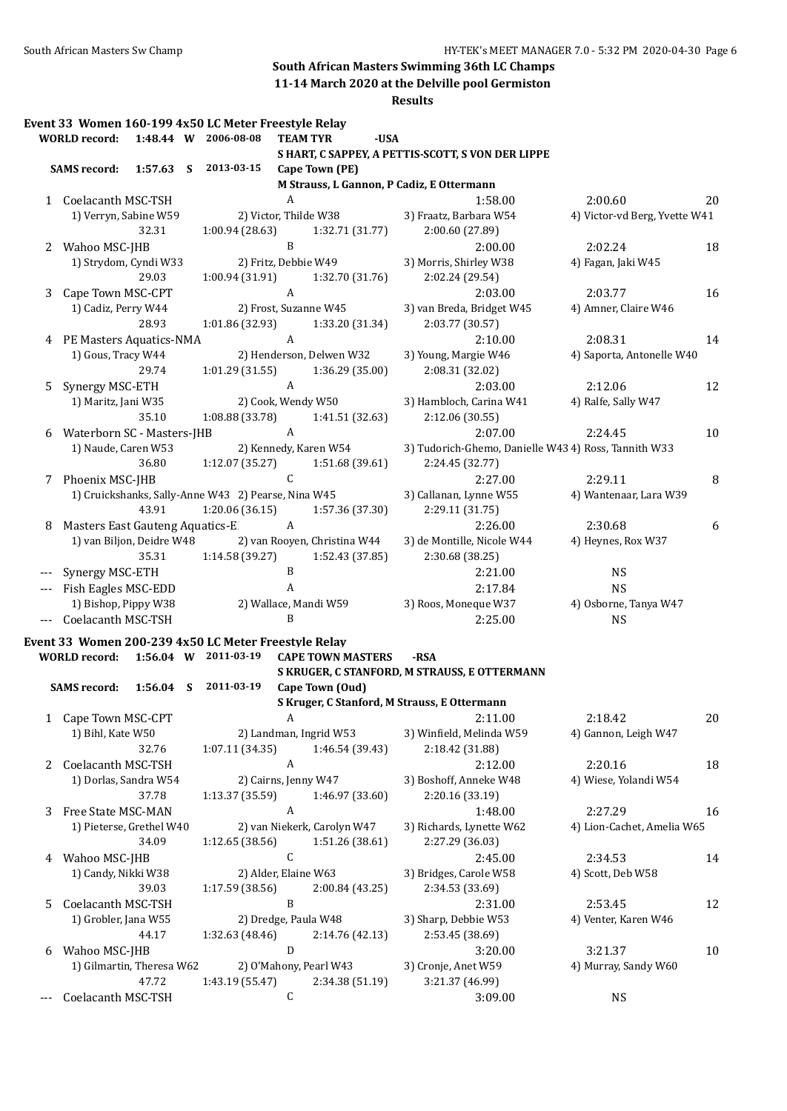**11-14 March 2020 at the Delville pool Germiston**

|       |                                 |             | Event 33 Women 160-199 4x50 LC Meter Freestyle Relay |                  |                              |      |                                                      |                               |                  |
|-------|---------------------------------|-------------|------------------------------------------------------|------------------|------------------------------|------|------------------------------------------------------|-------------------------------|------------------|
|       | <b>WORLD</b> record:            |             | 1:48.44 W 2006-08-08                                 |                  | <b>TEAM TYR</b>              | -USA |                                                      |                               |                  |
|       |                                 |             |                                                      |                  |                              |      | S HART, C SAPPEY, A PETTIS-SCOTT, S VON DER LIPPE    |                               |                  |
|       | <b>SAMS record:</b>             |             | 1:57.63 S 2013-03-15                                 |                  | Cape Town (PE)               |      |                                                      |                               |                  |
|       |                                 |             |                                                      |                  |                              |      | M Strauss, L Gannon, P Cadiz, E Ottermann            |                               |                  |
|       | 1 Coelacanth MSC-TSH            |             |                                                      | $\boldsymbol{A}$ |                              |      | 1:58.00                                              | 2:00.60                       | 20               |
|       | 1) Verryn, Sabine W59           |             |                                                      |                  | 2) Victor, Thilde W38        |      | 3) Fraatz, Barbara W54                               | 4) Victor-vd Berg, Yvette W41 |                  |
|       |                                 | 32.31       | 1:00.94 (28.63)                                      |                  | 1:32.71 (31.77)              |      | 2:00.60 (27.89)                                      |                               |                  |
| 2     | Wahoo MSC-JHB                   |             |                                                      | $\, {\bf B}$     |                              |      | 2:00.00                                              | 2:02.24                       | 18               |
|       | 1) Strydom, Cyndi W33           |             |                                                      |                  | 2) Fritz, Debbie W49         |      | 3) Morris, Shirley W38                               | 4) Fagan, Jaki W45            |                  |
|       |                                 | 29.03       | 1:00.94 (31.91)                                      |                  | 1:32.70 (31.76)              |      | 2:02.24 (29.54)                                      |                               |                  |
| 3     | Cape Town MSC-CPT               |             |                                                      | $\mathbf{A}$     |                              |      | 2:03.00                                              | 2:03.77                       | 16               |
|       | 1) Cadiz, Perry W44             |             |                                                      |                  | 2) Frost, Suzanne W45        |      | 3) van Breda, Bridget W45                            | 4) Amner, Claire W46          |                  |
|       |                                 | 28.93       | 1:01.86 (32.93)                                      |                  | 1:33.20 (31.34)              |      | 2:03.77 (30.57)                                      |                               |                  |
|       | 4 PE Masters Aquatics-NMA       |             |                                                      | $\mathbf{A}$     |                              |      | 2:10.00                                              | 2:08.31                       | 14               |
|       | 1) Gous, Tracy W44              |             |                                                      |                  | 2) Henderson, Delwen W32     |      | 3) Young, Margie W46                                 | 4) Saporta, Antonelle W40     |                  |
|       |                                 | 29.74       | 1:01.29 (31.55)                                      |                  | 1:36.29 (35.00)              |      | 2:08.31 (32.02)                                      |                               |                  |
| 5     | Synergy MSC-ETH                 |             |                                                      | $\mathbf{A}$     |                              |      | 2:03.00                                              | 2:12.06                       | 12               |
|       | 1) Maritz, Jani W35             |             |                                                      |                  | 2) Cook, Wendy W50           |      | 3) Hambloch, Carina W41                              | 4) Ralfe, Sally W47           |                  |
|       |                                 | 35.10       | 1:08.88 (33.78)                                      |                  | 1:41.51 (32.63)              |      | 2:12.06 (30.55)                                      |                               |                  |
| 6     | Waterborn SC - Masters-JHB      |             |                                                      | A                |                              |      | 2:07.00                                              | 2:24.45                       | 10               |
|       | 1) Naude, Caren W53             |             |                                                      |                  | 2) Kennedy, Karen W54        |      | 3) Tudorich-Ghemo, Danielle W43 4) Ross, Tannith W33 |                               |                  |
|       |                                 | 36.80       | 1:12.07 (35.27)                                      |                  | 1:51.68 (39.61)              |      | 2:24.45 (32.77)                                      |                               |                  |
|       | 7 Phoenix MSC-JHB               |             |                                                      | C                |                              |      | 2:27.00                                              |                               |                  |
|       |                                 |             | 1) Cruickshanks, Sally-Anne W43 2) Pearse, Nina W45  |                  |                              |      | 3) Callanan, Lynne W55                               | 2:29.11                       | 8                |
|       |                                 | 43.91       | 1:20.06(36.15)                                       |                  | 1:57.36 (37.30)              |      |                                                      | 4) Wantenaar, Lara W39        |                  |
|       |                                 |             |                                                      | $\mathbf{A}$     |                              |      | 2:29.11 (31.75)                                      |                               |                  |
| 8     | Masters East Gauteng Aquatics-E |             |                                                      |                  |                              |      | 2:26.00                                              | 2:30.68                       | $\boldsymbol{6}$ |
|       | 1) van Biljon, Deidre W48       |             |                                                      |                  | 2) van Rooyen, Christina W44 |      | 3) de Montille, Nicole W44                           | 4) Heynes, Rox W37            |                  |
|       |                                 | 35.31       | 1:14.58 (39.27)                                      |                  | 1:52.43 (37.85)              |      | 2:30.68 (38.25)                                      |                               |                  |
|       | Synergy MSC-ETH                 |             |                                                      | $\, {\bf B}$     |                              |      | 2:21.00                                              | <b>NS</b>                     |                  |
|       | Fish Eagles MSC-EDD             |             |                                                      | A                |                              |      | 2:17.84                                              | <b>NS</b>                     |                  |
|       | 1) Bishop, Pippy W38            |             |                                                      |                  | 2) Wallace, Mandi W59        |      | 3) Roos, Moneque W37                                 | 4) Osborne, Tanya W47         |                  |
|       | Coelacanth MSC-TSH              |             |                                                      | B                |                              |      | 2:25.00                                              | <b>NS</b>                     |                  |
|       |                                 |             | Event 33 Women 200-239 4x50 LC Meter Freestyle Relay |                  |                              |      |                                                      |                               |                  |
|       | <b>WORLD record:</b>            |             | 1:56.04 W 2011-03-19                                 |                  | <b>CAPE TOWN MASTERS</b>     |      | $-RSA$                                               |                               |                  |
|       |                                 |             |                                                      |                  |                              |      | S KRUGER, C STANFORD, M STRAUSS, E OTTERMANN         |                               |                  |
|       | <b>SAMS</b> record:             | $1:56.04$ S | 2011-03-19                                           |                  | Cape Town (Oud)              |      |                                                      |                               |                  |
|       |                                 |             |                                                      |                  |                              |      | S Kruger, C Stanford, M Strauss, E Ottermann         |                               |                  |
|       | 1 Cape Town MSC-CPT             |             |                                                      | A                |                              |      | 2:11.00                                              | 2:18.42                       | 20               |
|       | 1) Bihl, Kate W50               |             |                                                      |                  | 2) Landman, Ingrid W53       |      | 3) Winfield, Melinda W59                             | 4) Gannon, Leigh W47          |                  |
|       |                                 | 32.76       | 1:07.11(34.35)                                       |                  | 1:46.54 (39.43)              |      | 2:18.42 (31.88)                                      |                               |                  |
| 2     | Coelacanth MSC-TSH              |             |                                                      | A                |                              |      | 2:12.00                                              | 2:20.16                       | 18               |
|       | 1) Dorlas, Sandra W54           |             |                                                      |                  | 2) Cairns, Jenny W47         |      | 3) Boshoff, Anneke W48                               | 4) Wiese, Yolandi W54         |                  |
|       |                                 | 37.78       | 1:13.37 (35.59)                                      |                  | 1:46.97 (33.60)              |      | 2:20.16 (33.19)                                      |                               |                  |
| 3     | Free State MSC-MAN              |             |                                                      | A                |                              |      | 1:48.00                                              | 2:27.29                       | 16               |
|       | 1) Pieterse, Grethel W40        |             |                                                      |                  | 2) van Niekerk, Carolyn W47  |      | 3) Richards, Lynette W62                             | 4) Lion-Cachet, Amelia W65    |                  |
|       |                                 |             |                                                      |                  | 1:51.26 (38.61)              |      |                                                      |                               |                  |
|       |                                 | 34.09       | 1:12.65(38.56)                                       | C                |                              |      | 2:27.29 (36.03)                                      |                               |                  |
|       | 4 Wahoo MSC-JHB                 |             |                                                      |                  |                              |      | 2:45.00                                              | 2:34.53                       | 14               |
|       | 1) Candy, Nikki W38             |             |                                                      |                  | 2) Alder, Elaine W63         |      | 3) Bridges, Carole W58                               | 4) Scott, Deb W58             |                  |
|       |                                 | 39.03       | 1:17.59 (38.56)                                      |                  | 2:00.84 (43.25)              |      | 2:34.53 (33.69)                                      |                               |                  |
| 5     | Coelacanth MSC-TSH              |             |                                                      | B                |                              |      | 2:31.00                                              | 2:53.45                       | 12               |
|       | 1) Grobler, Jana W55            |             |                                                      |                  | 2) Dredge, Paula W48         |      | 3) Sharp, Debbie W53                                 | 4) Venter, Karen W46          |                  |
|       |                                 | 44.17       | 1:32.63 (48.46)                                      |                  | 2:14.76 (42.13)              |      | 2:53.45 (38.69)                                      |                               |                  |
| 6     | Wahoo MSC-JHB                   |             |                                                      | $\mathbf D$      |                              |      | 3:20.00                                              | 3:21.37                       | 10               |
|       | 1) Gilmartin, Theresa W62       |             |                                                      |                  | 2) O'Mahony, Pearl W43       |      | 3) Cronje, Anet W59                                  | 4) Murray, Sandy W60          |                  |
|       |                                 | 47.72       | 1:43.19 (55.47)                                      |                  | 2:34.38 (51.19)              |      | 3:21.37 (46.99)                                      |                               |                  |
| $---$ | Coelacanth MSC-TSH              |             |                                                      | С                |                              |      | 3:09.00                                              | <b>NS</b>                     |                  |